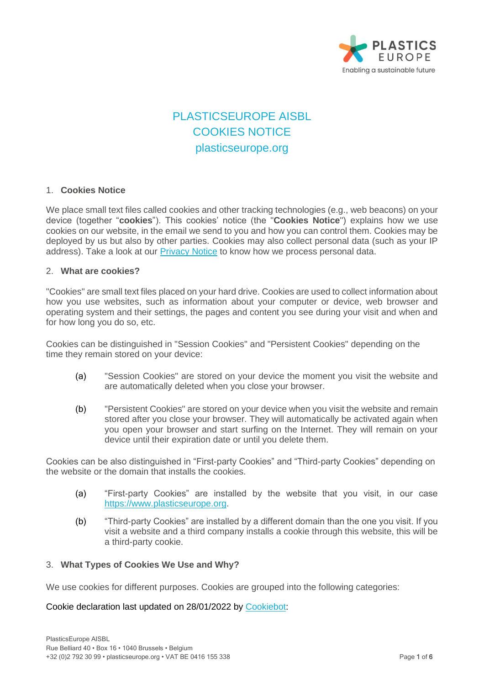

# PLASTICSEUROPE AISBL COOKIES NOTICE plasticseurope.org

# 1. **Cookies Notice**

We place small text files called cookies and other tracking technologies (e.g., web beacons) on your device (together "**cookies**"). This cookies' notice (the "**Cookies Notice**") explains how we use cookies on our website, in the email we send to you and how you can control them. Cookies may be deployed by us but also by other parties. Cookies may also collect personal data (such as your IP address). Take a look at our [Privacy Notice](https://www.plasticseurope.org/download_file/4384/0) to know how we process personal data.

#### 2. **What are cookies?**

"Cookies" are small text files placed on your hard drive. Cookies are used to collect information about how you use websites, such as information about your computer or device, web browser and operating system and their settings, the pages and content you see during your visit and when and for how long you do so, etc.

Cookies can be distinguished in "Session Cookies" and "Persistent Cookies" depending on the time they remain stored on your device:

- (a) "Session Cookies" are stored on your device the moment you visit the website and are automatically deleted when you close your browser.
- (b) "Persistent Cookies" are stored on your device when you visit the website and remain stored after you close your browser. They will automatically be activated again when you open your browser and start surfing on the Internet. They will remain on your device until their expiration date or until you delete them.

Cookies can be also distinguished in "First-party Cookies" and "Third-party Cookies" depending on the website or the domain that installs the cookies.

- (a) "First-party Cookies" are installed by the website that you visit, in our case [https://www.plasticseurope.org.](https://www.plasticseurope.org/)
- (b) "Third-party Cookies" are installed by a different domain than the one you visit. If you visit a website and a third company installs a cookie through this website, this will be a third-party cookie.

#### 3. **What Types of Cookies We Use and Why?**

We use cookies for different purposes. Cookies are grouped into the following categories:

#### Cookie declaration last updated on 28/01/2022 by [Cookiebot:](https://www.cookiebot.com/)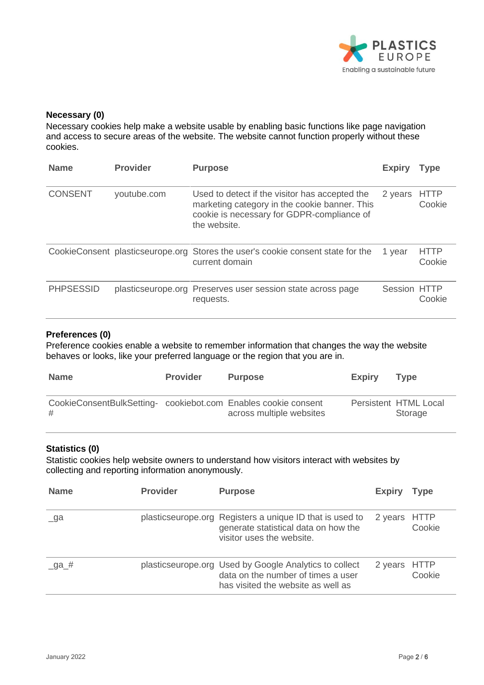

#### **Necessary (0)**

Necessary cookies help make a website usable by enabling basic functions like page navigation and access to secure areas of the website. The website cannot function properly without these cookies.

| <b>Name</b>      | <b>Provider</b>                  | <b>Purpose</b>                                                                                                                                                | <b>Expiry</b> | Type                  |
|------------------|----------------------------------|---------------------------------------------------------------------------------------------------------------------------------------------------------------|---------------|-----------------------|
| <b>CONSENT</b>   | youtube.com                      | Used to detect if the visitor has accepted the<br>marketing category in the cookie banner. This<br>cookie is necessary for GDPR-compliance of<br>the website. | 2 years       | <b>HTTP</b><br>Cookie |
|                  | CookieConsent plasticseurope.org | Stores the user's cookie consent state for the<br>current domain                                                                                              | 1 year        | <b>HTTP</b><br>Cookie |
| <b>PHPSESSID</b> |                                  | plasticseurope.org Preserves user session state across page<br>requests.                                                                                      | Session HTTP  | Cookie                |

#### **Preferences (0)**

Preference cookies enable a website to remember information that changes the way the website behaves or looks, like your preferred language or the region that you are in.

| <b>Name</b>                                                         | <b>Provider</b> | <b>Purpose</b>           | <b>Expiry</b> | Tvpe                             |
|---------------------------------------------------------------------|-----------------|--------------------------|---------------|----------------------------------|
| CookieConsentBulkSetting- cookiebot.com Enables cookie consent<br># |                 | across multiple websites |               | Persistent HTML Local<br>Storage |

# **Statistics (0)**

Statistic cookies help website owners to understand how visitors interact with websites by collecting and reporting information anonymously.

| <b>Name</b> | <b>Provider</b> | <b>Purpose</b>                                                                                                                     | <b>Expiry</b> | <b>Type</b> |
|-------------|-----------------|------------------------------------------------------------------------------------------------------------------------------------|---------------|-------------|
| $\Box$ ga   |                 | plasticseurope.org Registers a unique ID that is used to<br>generate statistical data on how the<br>visitor uses the website.      | 2 years HTTP  | Cookie      |
| _ga_#       |                 | plasticseurope.org Used by Google Analytics to collect<br>data on the number of times a user<br>has visited the website as well as | 2 years HTTP  | Cookie      |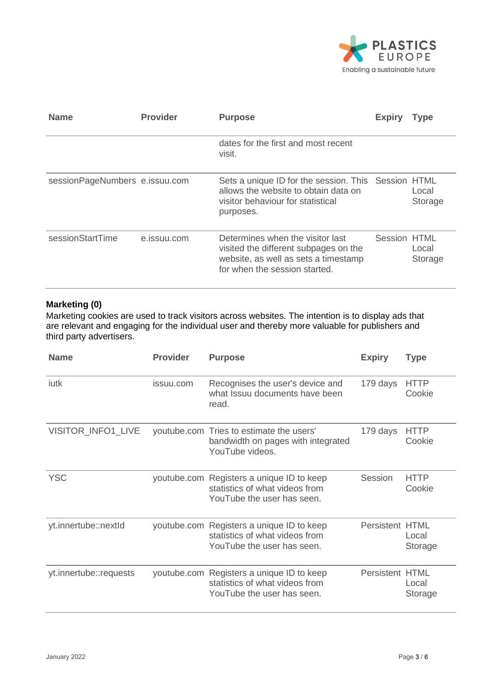

| <b>Name</b>                    | <b>Provider</b> | <b>Purpose</b>                                                                                                                                     | <b>Expiry</b> | <b>Type</b>      |
|--------------------------------|-----------------|----------------------------------------------------------------------------------------------------------------------------------------------------|---------------|------------------|
|                                |                 | dates for the first and most recent<br>visit.                                                                                                      |               |                  |
| sessionPageNumbers e.issuu.com |                 | Sets a unique ID for the session. This Session HTML<br>allows the website to obtain data on<br>visitor behaviour for statistical<br>purposes.      |               | Local<br>Storage |
| sessionStartTime               | e.issuu.com     | Determines when the visitor last<br>visited the different subpages on the<br>website, as well as sets a timestamp<br>for when the session started. | Session HTML  | Local<br>Storage |

# **Marketing (0)**

Marketing cookies are used to track visitors across websites. The intention is to display ads that are relevant and engaging for the individual user and thereby more valuable for publishers and third party advertisers.

| <b>Name</b>            | <b>Provider</b> | <b>Purpose</b>                                                                                            | <b>Expiry</b>          | <b>Type</b>           |
|------------------------|-----------------|-----------------------------------------------------------------------------------------------------------|------------------------|-----------------------|
| iutk                   | issuu.com       | Recognises the user's device and<br>what Issuu documents have been<br>read.                               | 179 days               | <b>HTTP</b><br>Cookie |
| VISITOR_INFO1_LIVE     |                 | youtube.com Tries to estimate the users'<br>bandwidth on pages with integrated<br>YouTube videos.         | 179 days               | <b>HTTP</b><br>Cookie |
| <b>YSC</b>             |                 | youtube.com Registers a unique ID to keep<br>statistics of what videos from<br>YouTube the user has seen. | Session                | <b>HTTP</b><br>Cookie |
| yt.innertube::nextld   |                 | youtube.com Registers a unique ID to keep<br>statistics of what videos from<br>YouTube the user has seen. | <b>Persistent HTML</b> | Local<br>Storage      |
| yt.innertube::requests |                 | youtube.com Registers a unique ID to keep<br>statistics of what videos from<br>YouTube the user has seen. | <b>Persistent HTML</b> | Local<br>Storage      |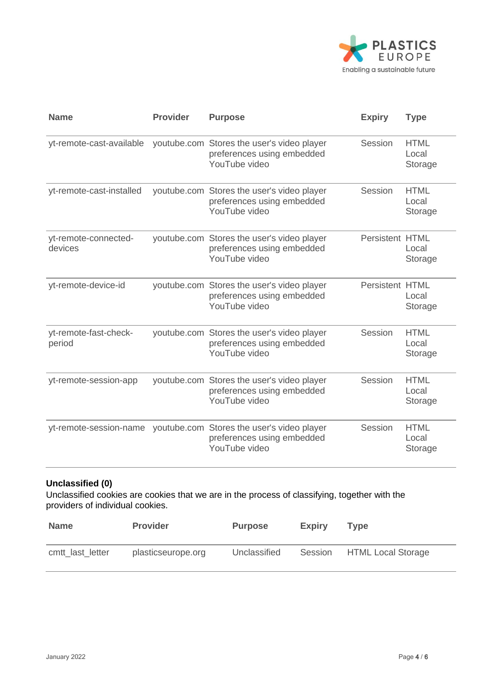

| <b>Name</b>                     | <b>Provider</b> | <b>Purpose</b>                                                                            | <b>Expiry</b>          | <b>Type</b>                     |
|---------------------------------|-----------------|-------------------------------------------------------------------------------------------|------------------------|---------------------------------|
| yt-remote-cast-available        |                 | youtube.com Stores the user's video player<br>preferences using embedded<br>YouTube video | Session                | <b>HTML</b><br>Local<br>Storage |
| yt-remote-cast-installed        |                 | youtube.com Stores the user's video player<br>preferences using embedded<br>YouTube video | Session                | <b>HTML</b><br>Local<br>Storage |
| yt-remote-connected-<br>devices |                 | youtube.com Stores the user's video player<br>preferences using embedded<br>YouTube video | <b>Persistent HTML</b> | Local<br>Storage                |
| yt-remote-device-id             |                 | youtube.com Stores the user's video player<br>preferences using embedded<br>YouTube video | <b>Persistent HTML</b> | Local<br>Storage                |
| yt-remote-fast-check-<br>period |                 | youtube.com Stores the user's video player<br>preferences using embedded<br>YouTube video | Session                | <b>HTML</b><br>Local<br>Storage |
| yt-remote-session-app           |                 | youtube.com Stores the user's video player<br>preferences using embedded<br>YouTube video | Session                | <b>HTML</b><br>Local<br>Storage |
| yt-remote-session-name          |                 | youtube.com Stores the user's video player<br>preferences using embedded<br>YouTube video | Session                | <b>HTML</b><br>Local<br>Storage |

# **Unclassified (0)**

Unclassified cookies are cookies that we are in the process of classifying, together with the providers of individual cookies.

| <b>Name</b>      | <b>Provider</b>    | <b>Purpose</b> | <b>Expiry</b> | Tvpe                       |
|------------------|--------------------|----------------|---------------|----------------------------|
| cmtt_last_letter | plasticseurope.org | Unclassified   |               | Session HTML Local Storage |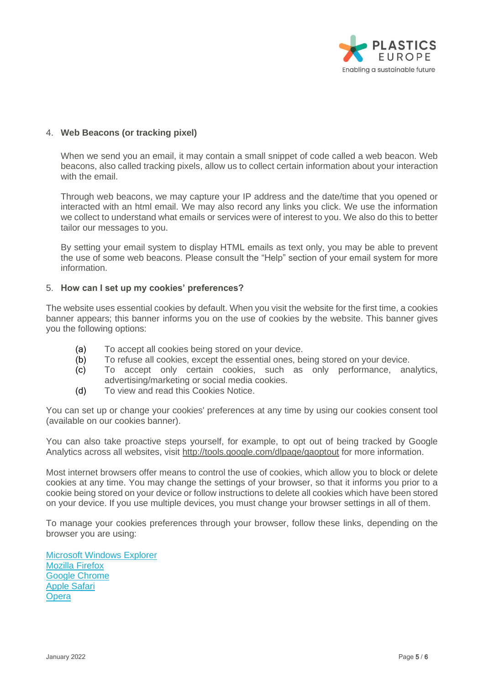

# 4. **Web Beacons (or tracking pixel)**

When we send you an email, it may contain a small snippet of code called a web beacon. Web beacons, also called tracking pixels, allow us to collect certain information about your interaction with the email.

Through web beacons, we may capture your IP address and the date/time that you opened or interacted with an html email. We may also record any links you click. We use the information we collect to understand what emails or services were of interest to you. We also do this to better tailor our messages to you.

By setting your email system to display HTML emails as text only, you may be able to prevent the use of some web beacons. Please consult the "Help" section of your email system for more information.

#### 5. **How can I set up my cookies' preferences?**

The website uses essential cookies by default. When you visit the website for the first time, a cookies banner appears; this banner informs you on the use of cookies by the website. This banner gives you the following options:

- (a) To accept all cookies being stored on your device.
- (b) To refuse all cookies, except the essential ones, being stored on your device.
- (c) To accept only certain cookies, such as only performance, analytics, advertising/marketing or social media cookies.
- (d) To view and read this Cookies Notice.

You can set up or change your cookies' preferences at any time by using our cookies consent tool (available on our cookies banner).

You can also take proactive steps yourself, for example, to opt out of being tracked by Google Analytics across all websites, visit<http://tools.google.com/dlpage/gaoptout> for more information.

Most internet browsers offer means to control the use of cookies, which allow you to block or delete cookies at any time. You may change the settings of your browser, so that it informs you prior to a cookie being stored on your device or follow instructions to delete all cookies which have been stored on your device. If you use multiple devices, you must change your browser settings in all of them.

To manage your cookies preferences through your browser, follow these links, depending on the browser you are using:

[Microsoft Windows Explorer](https://support.microsoft.com/en-us/help/17442/windows-internet-explorer-delete-manage-cookies) [Mozilla Firefox](https://support.mozilla.org/en-US/kb/enable-and-disable-cookies-website-preferences) [Google Chrome](https://support.google.com/chrome/answer/95647?co=GENIE.Platform%3DDesktop&hl=en) [Apple Safari](https://support.apple.com/kb/ph19214?locale=en_US) **[Opera](https://www.opera.com/help)**